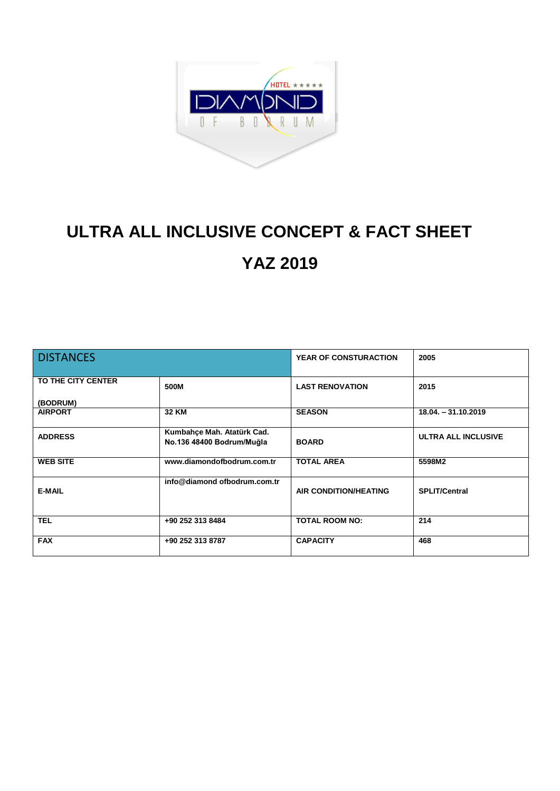

## **ULTRA ALL INCLUSIVE CONCEPT & FACT SHEET YAZ 2019**

| <b>DISTANCES</b>               |                                                         | <b>YEAR OF CONSTURACTION</b> | 2005                       |
|--------------------------------|---------------------------------------------------------|------------------------------|----------------------------|
| TO THE CITY CENTER<br>(BODRUM) | 500M                                                    | <b>LAST RENOVATION</b>       | 2015                       |
| <b>AIRPORT</b>                 | <b>32 KM</b>                                            | <b>SEASON</b>                | $18.04. - 31.10.2019$      |
| <b>ADDRESS</b>                 | Kumbahçe Mah. Atatürk Cad.<br>No.136 48400 Bodrum/Muğla | <b>BOARD</b>                 | <b>ULTRA ALL INCLUSIVE</b> |
| <b>WEB SITE</b>                | www.diamondofbodrum.com.tr                              | <b>TOTAL AREA</b>            | 5598M2                     |
| <b>E-MAIL</b>                  | info@diamond ofbodrum.com.tr                            | <b>AIR CONDITION/HEATING</b> | <b>SPLIT/Central</b>       |
| <b>TEL</b>                     | +90 252 313 8484                                        | <b>TOTAL ROOM NO:</b>        | 214                        |
| <b>FAX</b>                     | +90 252 313 8787                                        | <b>CAPACITY</b>              | 468                        |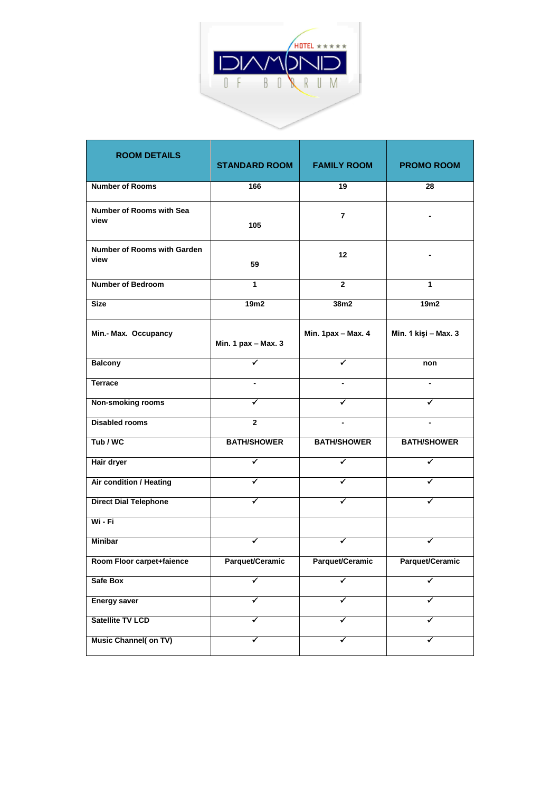

| <b>ROOM DETAILS</b>                     | <b>STANDARD ROOM</b> | <b>FAMILY ROOM</b> | <b>PROMO ROOM</b>    |
|-----------------------------------------|----------------------|--------------------|----------------------|
| <b>Number of Rooms</b>                  | 166                  | 19                 | 28                   |
| <b>Number of Rooms with Sea</b><br>view | 105                  | $\overline{7}$     |                      |
| Number of Rooms with Garden<br>view     | 59                   | 12                 |                      |
| <b>Number of Bedroom</b>                | 1                    | $\mathbf{2}$       | 1                    |
| <b>Size</b>                             | 19m2                 | 38m2               | 19m2                 |
| Min.- Max. Occupancy                    | Min. 1 pax - Max. 3  | Min. 1pax - Max. 4 | Min. 1 kişi - Max. 3 |
| <b>Balcony</b>                          |                      |                    | non                  |
| <b>Terrace</b>                          |                      |                    |                      |
| <b>Non-smoking rooms</b>                | ✔                    | ✔                  |                      |
| <b>Disabled rooms</b>                   | $\overline{2}$       |                    |                      |
| Tub / WC                                | <b>BATH/SHOWER</b>   | <b>BATH/SHOWER</b> | <b>BATH/SHOWER</b>   |
| Hair dryer                              | ✔                    | ✔                  | ✔                    |
| Air condition / Heating                 | ✓                    | ✔                  | ✔                    |
| <b>Direct Dial Telephone</b>            | ✓                    | ✔                  | ✓                    |
| Wi - Fi                                 |                      |                    |                      |
| <b>Minibar</b>                          | ✔                    |                    |                      |
| Room Floor carpet+faience               | Parquet/Ceramic      | Parquet/Ceramic    | Parquet/Ceramic      |
| Safe Box                                | ✔                    | ✔                  | ✔                    |
| <b>Energy saver</b>                     | ✔                    | ✔                  | ✔                    |
| Satellite TV LCD                        | ✔                    | ✔                  | ✔                    |
| <b>Music Channel( on TV)</b>            | ✔                    | ✔                  | ✓                    |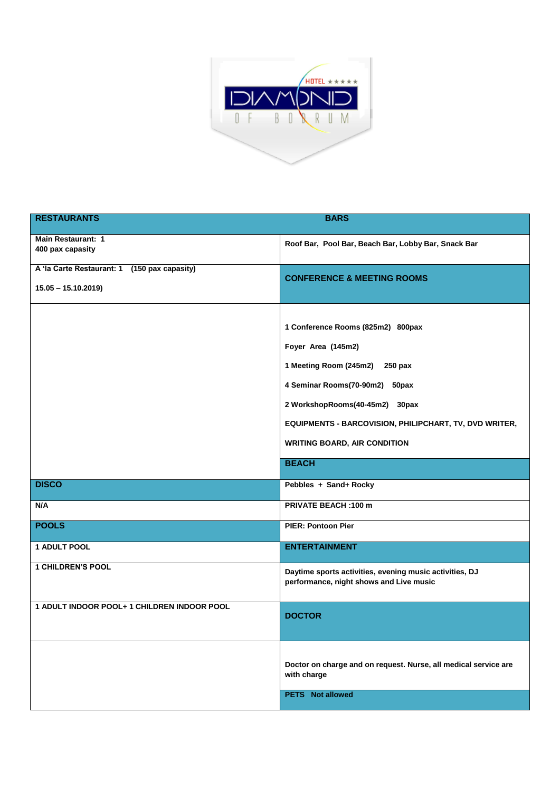

| <b>RESTAURANTS</b>                                                   | <b>BARS</b>                                                                                                                                                                                                                                                                    |
|----------------------------------------------------------------------|--------------------------------------------------------------------------------------------------------------------------------------------------------------------------------------------------------------------------------------------------------------------------------|
| <b>Main Restaurant: 1</b><br>400 pax capasity                        | Roof Bar, Pool Bar, Beach Bar, Lobby Bar, Snack Bar                                                                                                                                                                                                                            |
| A 'la Carte Restaurant: 1 (150 pax capasity)<br>$15.05 - 15.10.2019$ | <b>CONFERENCE &amp; MEETING ROOMS</b>                                                                                                                                                                                                                                          |
|                                                                      | 1 Conference Rooms (825m2) 800pax<br>Foyer Area (145m2)<br>1 Meeting Room (245m2) 250 pax<br>4 Seminar Rooms(70-90m2) 50pax<br>2 WorkshopRooms(40-45m2) 30pax<br>EQUIPMENTS - BARCOVISION, PHILIPCHART, TV, DVD WRITER,<br><b>WRITING BOARD, AIR CONDITION</b><br><b>BEACH</b> |
| <b>DISCO</b>                                                         | Pebbles + Sand+ Rocky                                                                                                                                                                                                                                                          |
| N/A                                                                  | <b>PRIVATE BEACH: 100 m</b>                                                                                                                                                                                                                                                    |
| <b>POOLS</b>                                                         | <b>PIER: Pontoon Pier</b>                                                                                                                                                                                                                                                      |
| 1 ADULT POOL                                                         | <b>ENTERTAINMENT</b>                                                                                                                                                                                                                                                           |
| <b>1 CHILDREN'S POOL</b>                                             | Daytime sports activities, evening music activities, DJ<br>performance, night shows and Live music                                                                                                                                                                             |
| 1 ADULT INDOOR POOL+ 1 CHILDREN INDOOR POOL                          | <b>DOCTOR</b>                                                                                                                                                                                                                                                                  |
|                                                                      | Doctor on charge and on request. Nurse, all medical service are<br>with charge<br><b>PETS</b> Not allowed                                                                                                                                                                      |
|                                                                      |                                                                                                                                                                                                                                                                                |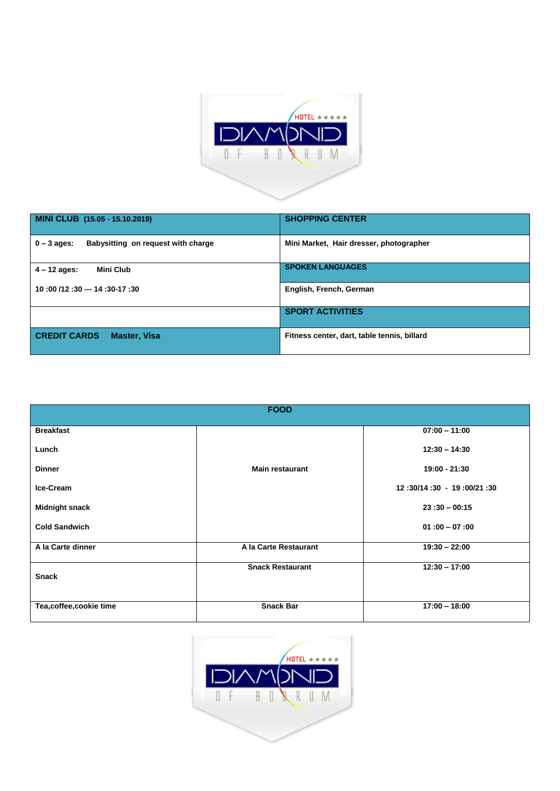

| MINI CLUB (15.05 - 15.10.2019)                      | <b>SHOPPING CENTER</b>                      |
|-----------------------------------------------------|---------------------------------------------|
| Babysitting on request with charge<br>$0 - 3$ ages: | Mini Market, Hair dresser, photographer     |
| <b>Mini Club</b><br>$4 - 12$ ages:                  | <b>SPOKEN LANGUAGES</b>                     |
| 10:00 /12:30 --- 14:30-17:30                        | English, French, German                     |
|                                                     | <b>SPORT ACTIVITIES</b>                     |
| <b>CREDIT CARDS</b><br><b>Master, Visa</b>          | Fitness center, dart, table tennis, billard |

| <b>FOOD</b>            |                         |                           |  |  |
|------------------------|-------------------------|---------------------------|--|--|
| <b>Breakfast</b>       |                         | $07:00 - 11:00$           |  |  |
| Lunch                  |                         | $12:30 - 14:30$           |  |  |
| <b>Dinner</b>          | <b>Main restaurant</b>  | 19:00 - 21:30             |  |  |
| Ice-Cream              |                         | 12:30/14:30 - 19:00/21:30 |  |  |
| <b>Midnight snack</b>  |                         | $23:30 - 00:15$           |  |  |
| <b>Cold Sandwich</b>   |                         | $01:00 - 07:00$           |  |  |
| A la Carte dinner      | A la Carte Restaurant   | $19:30 - 22:00$           |  |  |
| <b>Snack</b>           | <b>Snack Restaurant</b> | $12:30 - 17:00$           |  |  |
| Tea,coffee,cookie time | <b>Snack Bar</b>        | $17:00 - 18:00$           |  |  |

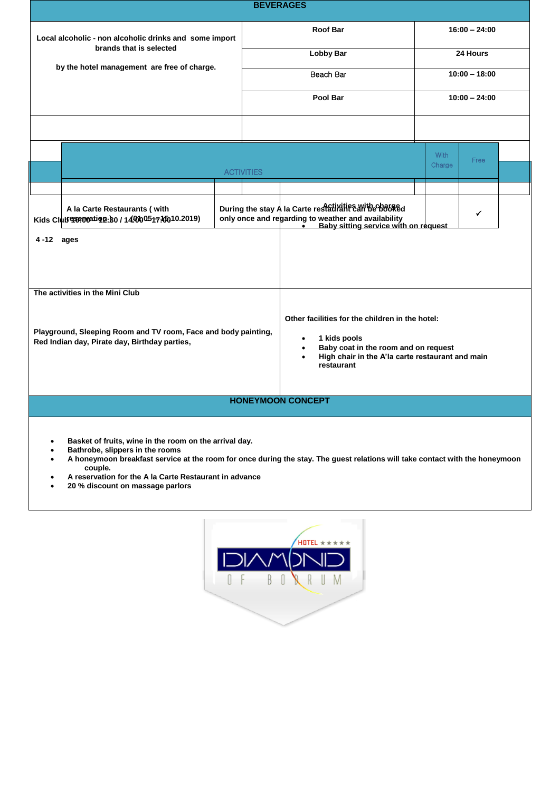| <b>BEVERAGES</b>                                                                                                |  |                              |                                                                                                                                                               |                             |      |  |  |
|-----------------------------------------------------------------------------------------------------------------|--|------------------------------|---------------------------------------------------------------------------------------------------------------------------------------------------------------|-----------------------------|------|--|--|
| Local alcoholic - non alcoholic drinks and some import<br>brands that is selected                               |  | Roof Bar<br><b>Lobby Bar</b> |                                                                                                                                                               | $16:00 - 24:00$<br>24 Hours |      |  |  |
|                                                                                                                 |  |                              |                                                                                                                                                               |                             |      |  |  |
|                                                                                                                 |  | Pool Bar                     |                                                                                                                                                               | $10:00 - 24:00$             |      |  |  |
|                                                                                                                 |  |                              |                                                                                                                                                               |                             |      |  |  |
|                                                                                                                 |  |                              |                                                                                                                                                               | <b>With</b><br>Charge       | Free |  |  |
|                                                                                                                 |  | <b>ACTIVITIES</b>            |                                                                                                                                                               |                             |      |  |  |
| A la Carte Restaurants ( with<br>Kids Club exprovation : 80 / 14,000 0517.100 10.2019)                          |  |                              | During the stay A la Carte restatiraties arithe bases<br>only once and regarding to weather and availability<br>Baby sitting service with on request          |                             | ✓    |  |  |
| 4-12 ages                                                                                                       |  |                              |                                                                                                                                                               |                             |      |  |  |
| The activities in the Mini Club                                                                                 |  |                              | Other facilities for the children in the hotel:                                                                                                               |                             |      |  |  |
| Playground, Sleeping Room and TV room, Face and body painting,<br>Red Indian day, Pirate day, Birthday parties, |  |                              | 1 kids pools<br>$\bullet$<br>Baby coat in the room and on request<br>$\bullet$<br>High chair in the A'la carte restaurant and main<br>$\bullet$<br>restaurant |                             |      |  |  |
| <b>HONEYMOON CONCEPT</b>                                                                                        |  |                              |                                                                                                                                                               |                             |      |  |  |
|                                                                                                                 |  |                              |                                                                                                                                                               |                             |      |  |  |

- **Basket of fruits, wine in the room on the arrival day.**
- **Bathrobe, slippers in the rooms**
- **A honeymoon breakfast service at the room for once during the stay. The guest relations will take contact with the honeymoon couple.**
- **A reservation for the A la Carte Restaurant in advance**
- **20 % discount on massage parlors**